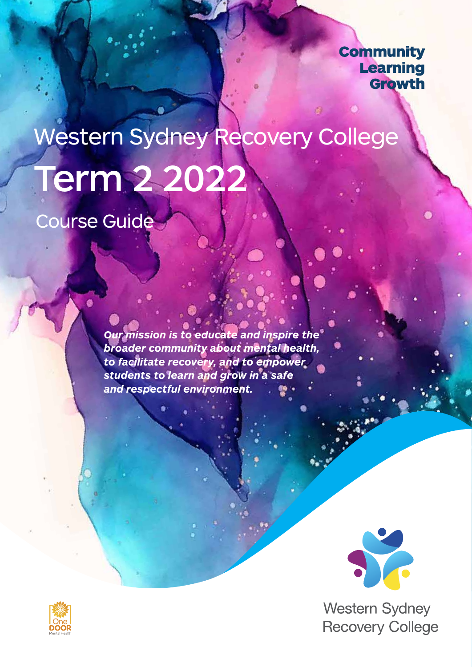## **Community Learning** Growth

# Term 2 2022 Western Sydney Recovery College

Course Guide

*Our mission is to educate and inspire the broader community about mental health, to facilitate recovery, and to empower students to learn and grow in a safe and respectful environment.* 



**Western Sydney Recovery College** 

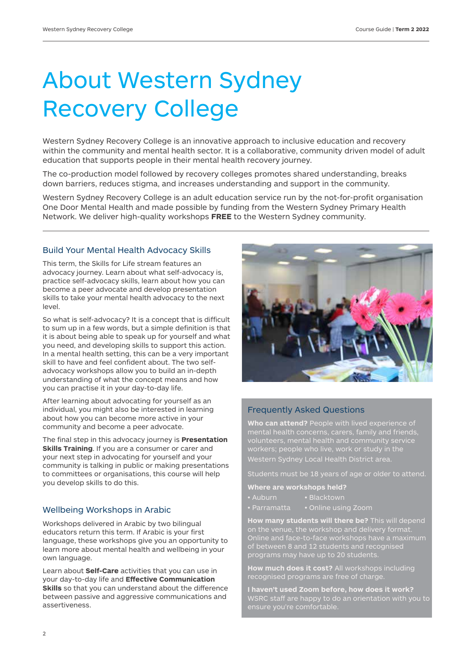## About Western Sydney Recovery College

Western Sydney Recovery College is an innovative approach to inclusive education and recovery within the community and mental health sector. It is a collaborative, community driven model of adult education that supports people in their mental health recovery journey.

The co-production model followed by recovery colleges promotes shared understanding, breaks down barriers, reduces stigma, and increases understanding and support in the community.

Western Sydney Recovery College is an adult education service run by the not-for-profit organisation One Door Mental Health and made possible by funding from the Western Sydney Primary Health Network. We deliver high-quality workshops **FREE** to the Western Sydney community.

#### Build Your Mental Health Advocacy Skills

This term, the Skills for Life stream features an advocacy journey. Learn about what self-advocacy is, practice self-advocacy skills, learn about how you can become a peer advocate and develop presentation skills to take your mental health advocacy to the next level.

So what is self-advocacy? It is a concept that is difficult to sum up in a few words, but a simple definition is that it is about being able to speak up for yourself and what you need, and developing skills to support this action. In a mental health setting, this can be a very important skill to have and feel confident about. The two selfadvocacy workshops allow you to build an in-depth understanding of what the concept means and how you can practise it in your day-to-day life.

After learning about advocating for yourself as an individual, you might also be interested in learning about how you can become more active in your community and become a peer advocate.

The final step in this advocacy journey is **Presentation Skills Training**. If you are a consumer or carer and your next step in advocating for yourself and your community is talking in public or making presentations to committees or organisations, this course will help you develop skills to do this.

#### Wellbeing Workshops in Arabic

Workshops delivered in Arabic by two bilingual educators return this term. If Arabic is your first language, these workshops give you an opportunity to learn more about mental health and wellbeing in your own language.

Learn about **Self-Care** activities that you can use in your day-to-day life and **Effective Communication Skills** so that you can understand about the difference between passive and aggressive communications and assertiveness.



#### Frequently Asked Questions

**Who can attend?** People with lived experience of Western Sydney Local Health District area.

Students must be 18 years of age or older to attend.

**Where are workshops held?**

- Auburn Blacktown
- Parramatta Online using Zoom

**How many students will there be?** This will depend Online and face-to-face workshops have a maximum of between 8 and 12 students and recognised programs may have up to 20 students.

**How much does it cost?** All workshops including recognised programs are free of charge.

**I haven't used Zoom before, how does it work?**  WSRC staff are happy to do an orientation with you to ensure you're comfortable.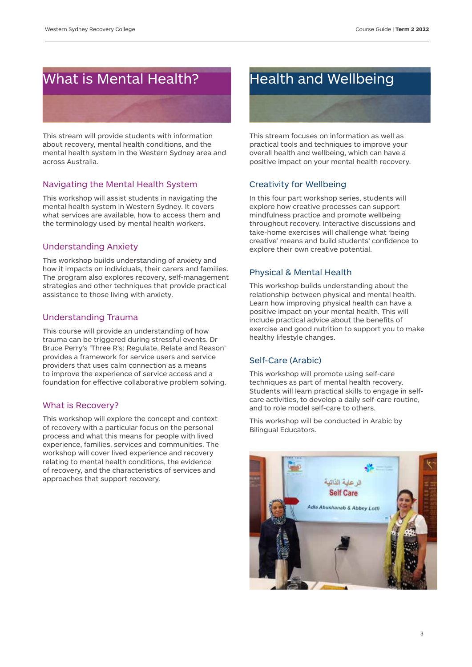## What is Mental Health?

This stream will provide students with information about recovery, mental health conditions, and the mental health system in the Western Sydney area and across Australia.

#### Navigating the Mental Health System

This workshop will assist students in navigating the mental health system in Western Sydney. It covers what services are available, how to access them and the terminology used by mental health workers.

#### Understanding Anxiety

This workshop builds understanding of anxiety and how it impacts on individuals, their carers and families. The program also explores recovery, self-management strategies and other techniques that provide practical assistance to those living with anxiety.

#### Understanding Trauma

This course will provide an understanding of how trauma can be triggered during stressful events. Dr Bruce Perry's 'Three R's: Regulate, Relate and Reason' provides a framework for service users and service providers that uses calm connection as a means to improve the experience of service access and a foundation for effective collaborative problem solving.

#### What is Recovery?

This workshop will explore the concept and context of recovery with a particular focus on the personal process and what this means for people with lived experience, families, services and communities. The workshop will cover lived experience and recovery relating to mental health conditions, the evidence of recovery, and the characteristics of services and approaches that support recovery.

## Health and Wellbeing

This stream focuses on information as well as practical tools and techniques to improve your overall health and wellbeing, which can have a positive impact on your mental health recovery.

#### Creativity for Wellbeing

In this four part workshop series, students will explore how creative processes can support mindfulness practice and promote wellbeing throughout recovery. Interactive discussions and take-home exercises will challenge what 'being creative' means and build students' confidence to explore their own creative potential.

#### Physical & Mental Health

This workshop builds understanding about the relationship between physical and mental health. Learn how improving physical health can have a positive impact on your mental health. This will include practical advice about the benefits of exercise and good nutrition to support you to make healthy lifestyle changes.

#### Self-Care (Arabic)

This workshop will promote using self-care techniques as part of mental health recovery. Students will learn practical skills to engage in selfcare activities, to develop a daily self-care routine, and to role model self-care to others.

This workshop will be conducted in Arabic by Bilingual Educators.

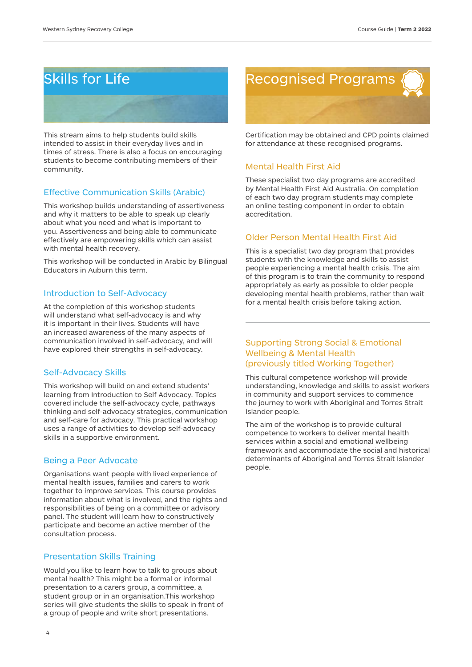## Skills for Life

This stream aims to help students build skills intended to assist in their everyday lives and in times of stress. There is also a focus on encouraging students to become contributing members of their community.

#### Effective Communication Skills (Arabic)

This workshop builds understanding of assertiveness and why it matters to be able to speak up clearly about what you need and what is important to you. Assertiveness and being able to communicate effectively are empowering skills which can assist with mental health recovery.

This workshop will be conducted in Arabic by Bilingual Educators in Auburn this term.

#### Introduction to Self-Advocacy

At the completion of this workshop students will understand what self-advocacy is and why it is important in their lives. Students will have an increased awareness of the many aspects of communication involved in self-advocacy, and will have explored their strengths in self-advocacy.

#### Self-Advocacy Skills

This workshop will build on and extend students' learning from Introduction to Self Advocacy. Topics covered include the self-advocacy cycle, pathways thinking and self-advocacy strategies, communication and self-care for advocacy. This practical workshop uses a range of activities to develop self-advocacy skills in a supportive environment.

#### Being a Peer Advocate

Organisations want people with lived experience of mental health issues, families and carers to work together to improve services. This course provides information about what is involved, and the rights and responsibilities of being on a committee or advisory panel. The student will learn how to constructively participate and become an active member of the consultation process.

#### Presentation Skills Training

Would you like to learn how to talk to groups about mental health? This might be a formal or informal presentation to a carers group, a committee, a student group or in an organisation. This workshop series will give students the skills to speak in front of a group of people and write short presentations.



Certification may be obtained and CPD points claimed for attendance at these recognised programs.

#### Mental Health First Aid

These specialist two day programs are accredited by Mental Health First Aid Australia. On completion of each two day program students may complete an online testing component in order to obtain accreditation.

#### Older Person Mental Health First Aid

This is a specialist two day program that provides students with the knowledge and skills to assist people experiencing a mental health crisis. The aim of this program is to train the community to respond appropriately as early as possible to older people developing mental health problems, rather than wait for a mental health crisis before taking action.

#### Supporting Strong Social & Emotional Wellbeing & Mental Health (previously titled Working Together)

This cultural competence workshop will provide understanding, knowledge and skills to assist workers in community and support services to commence the journey to work with Aboriginal and Torres Strait Islander people.

The aim of the workshop is to provide cultural competence to workers to deliver mental health services within a social and emotional wellbeing framework and accommodate the social and historical determinants of Aboriginal and Torres Strait Islander people.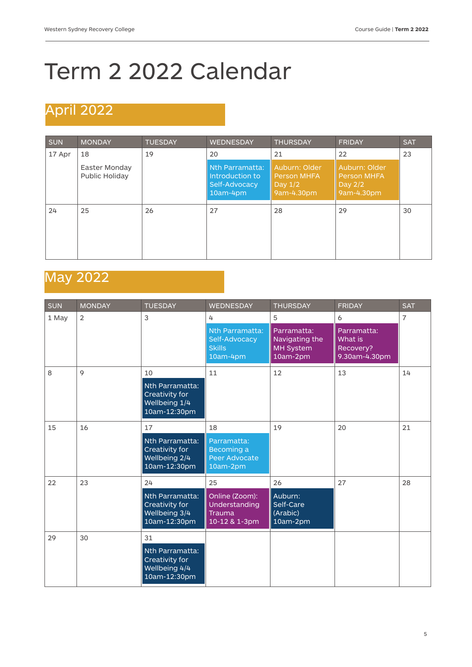## Term 2 2022 Calendar

## April 2022

| <b>SUN</b> | <b>MONDAY</b>                   | <b>TUESDAY</b> | <b>WEDNESDAY</b>                                                | <b>THURSDAY</b>                                                | <b>FRIDAY</b>                                                | <b>SAT</b> |
|------------|---------------------------------|----------------|-----------------------------------------------------------------|----------------------------------------------------------------|--------------------------------------------------------------|------------|
| 17 Apr     | 18                              | 19             | 20                                                              | 21                                                             | 22                                                           | 23         |
|            | Easter Monday<br>Public Holiday |                | Nth Parramatta:<br>Introduction to<br>Self-Advocacy<br>10am-4pm | Auburn: Older<br><b>Person MHFA</b><br>Day $1/2$<br>9am-4.30pm | Auburn: Older<br><b>Person MHFA</b><br>Day 2/2<br>9am-4.30pm |            |
| 24         | 25                              | 26             | 27                                                              | 28                                                             | 29                                                           | 30         |

## May 2022

| <b>SUN</b> | <b>MONDAY</b>  | <b>TUESDAY</b>                                                     | <b>WEDNESDAY</b>                                              | <b>THURSDAY</b>                                               | <b>FRIDAY</b>                                        | <b>SAT</b>     |
|------------|----------------|--------------------------------------------------------------------|---------------------------------------------------------------|---------------------------------------------------------------|------------------------------------------------------|----------------|
| 1 May      | $\overline{2}$ | 3                                                                  | 4                                                             | 5                                                             | 6                                                    | $\overline{7}$ |
|            |                |                                                                    | Nth Parramatta:<br>Self-Advocacy<br><b>Skills</b><br>10am-4pm | Parramatta:<br>Navigating the<br><b>MH System</b><br>10am-2pm | Parramatta:<br>What is<br>Recovery?<br>9.30am-4.30pm |                |
| 8          | 9              | 10                                                                 | 11                                                            | 12                                                            | 13                                                   | 14             |
|            |                | Nth Parramatta:<br>Creativity for<br>Wellbeing 1/4<br>10am-12:30pm |                                                               |                                                               |                                                      |                |
| 15         | 16             | 17                                                                 | 18                                                            | 19                                                            | 20                                                   | 21             |
|            |                | Nth Parramatta:<br>Creativity for<br>Wellbeing 2/4<br>10am-12:30pm | Parramatta:<br>Becoming a<br>Peer Advocate<br>10am-2pm        |                                                               |                                                      |                |
| 22         | 23             | 24                                                                 | 25                                                            | 26                                                            | 27                                                   | 28             |
|            |                | Nth Parramatta:<br>Creativity for<br>Wellbeing 3/4<br>10am-12:30pm | Online (Zoom):<br>Understanding<br>Trauma<br>10-12 & 1-3pm    | Auburn:<br>Self-Care<br>(Arabic)<br>10am-2pm                  |                                                      |                |
| 29         | 30             | 31                                                                 |                                                               |                                                               |                                                      |                |
|            |                | Nth Parramatta:<br>Creativity for<br>Wellbeing 4/4<br>10am-12:30pm |                                                               |                                                               |                                                      |                |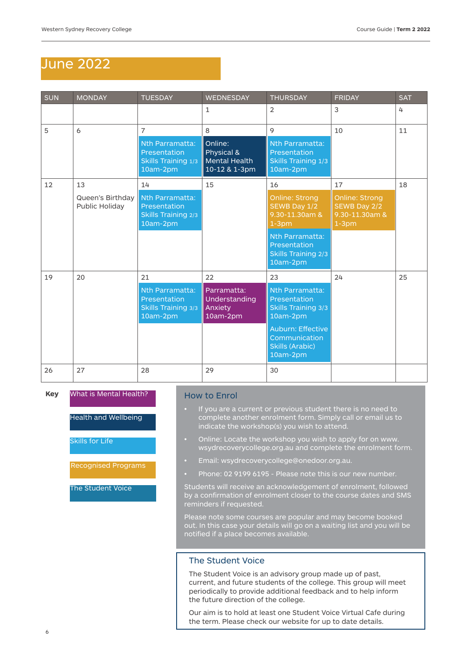### June 2022

| <b>SUN</b> | <b>MONDAY</b>                      | <b>TUESDAY</b>                                                       | <b>WEDNESDAY</b>                                               | <b>THURSDAY</b>                                                                                | <b>FRIDAY</b>                                                       | <b>SAT</b> |
|------------|------------------------------------|----------------------------------------------------------------------|----------------------------------------------------------------|------------------------------------------------------------------------------------------------|---------------------------------------------------------------------|------------|
|            |                                    |                                                                      | $\mathbf{1}$                                                   | 2                                                                                              | 3                                                                   | 4          |
| 5          | 6                                  | $\overline{7}$                                                       | 8                                                              | 9                                                                                              | 10                                                                  | 11         |
|            |                                    | Nth Parramatta:<br>Presentation<br>Skills Training 1/3<br>10am-2pm   | Online:<br>Physical &<br><b>Mental Health</b><br>10-12 & 1-3pm | Nth Parramatta:<br>Presentation<br>Skills Training 1/3<br>10am-2pm                             |                                                                     |            |
| 12         | 13                                 | 14                                                                   | 15                                                             | 16                                                                                             | 17                                                                  | 18         |
|            | Queen's Birthday<br>Public Holiday | Nth Parramatta:<br>Presentation<br>Skills Training 2/3<br>10am-2pm   |                                                                | <b>Online: Strong</b><br>SEWB Day 1/2<br>9.30-11.30am &<br>$1-3pm$                             | <b>Online: Strong</b><br>SEWB Day 2/2<br>9.30-11.30am &<br>$1-3$ pm |            |
|            |                                    |                                                                      |                                                                | Nth Parramatta:<br>Presentation<br><b>Skills Training 2/3</b><br>$10am-2pm$                    |                                                                     |            |
| 19         | 20                                 | 21                                                                   | 22                                                             | 23                                                                                             | 24                                                                  | 25         |
|            |                                    | Nth Parramatta:<br>Presentation<br>Skills Training 3/3<br>$10am-2pm$ | Parramatta:<br>Understanding<br>Anxiety<br>10am-2pm            | Nth Parramatta:<br>Presentation<br>Skills Training 3/3<br>10am-2pm<br><b>Auburn: Effective</b> |                                                                     |            |
|            |                                    |                                                                      |                                                                | Communication<br><b>Skills (Arabic)</b><br>10am-2pm                                            |                                                                     |            |
| 26         | 27                                 | 28                                                                   | 29                                                             | 30                                                                                             |                                                                     |            |

#### **Key** What is Mental Health?

Health and Wellbeing

Skills for Life

Recognised Programs

The Student Voice

#### How to Enrol

- If you are a current or previous student there is no need to complete another enrolment form. Simply call or email us to indicate the workshop(s) you wish to attend.
- Online: Locate the workshop you wish to apply for on www. wsydrecoverycollege.org.au and complete the enrolment form.
- Email: wsydrecoverycollege@onedoor.org.au.
- Phone: 02 9199 6195 Please note this is our new number.

Students will receive an acknowledgement of enrolment, followed by a confirmation of enrolment closer to the course dates and SMS reminders if requested.

Please note some courses are popular and may become booked out. In this case your details will go on a waiting list and you will be notified if a place becomes available.

#### The Student Voice

The Student Voice is an advisory group made up of past, current, and future students of the college. This group will meet periodically to provide additional feedback and to help inform the future direction of the college.

Our aim is to hold at least one Student Voice Virtual Cafe during the term. Please check our website for up to date details.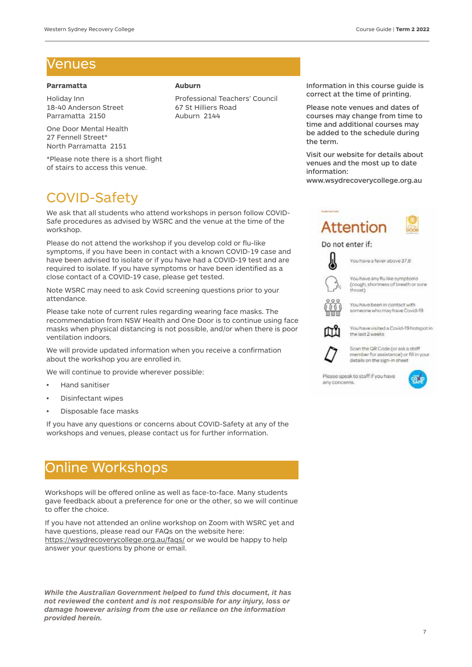### Venues

#### **Parramatta**

Holiday Inn 18-40 Anderson Street Parramatta 2150

One Door Mental Health 27 Fennell Street\* North Parramatta 2151

\*Please note there is a short flight of stairs to access this venue.

## COVID-Safety

We ask that all students who attend workshops in person follow COVID-Safe procedures as advised by WSRC and the venue at the time of the workshop.

Please do not attend the workshop if you develop cold or flu-like symptoms, if you have been in contact with a known COVID-19 case and have been advised to isolate or if you have had a COVID-19 test and are required to isolate. If you have symptoms or have been identified as a close contact of a COVID-19 case, please get tested.

Note WSRC may need to ask Covid screening questions prior to your attendance.

Please take note of current rules regarding wearing face masks. The recommendation from NSW Health and One Door is to continue using face masks when physical distancing is not possible, and/or when there is poor ventilation indoors.

We will provide updated information when you receive a confirmation about the workshop you are enrolled in.

We will continue to provide wherever possible:

- Hand sanitiser
- Disinfectant wipes
- Disposable face masks

If you have any questions or concerns about COVID-Safety at any of the workshops and venues, please contact us for further information.

## Online Workshops

Workshops will be offered online as well as face-to-face. Many students gave feedback about a preference for one or the other, so we will continue to offer the choice.

If you have not attended an online workshop on Zoom with WSRC yet and have questions, please read our FAQs on the website here: https://wsydrecoverycollege.org.au/faqs/ or we would be happy to help answer your questions by phone or email.

*While the Australian Government helped to fund this document, it has not reviewed the content and is not responsible for any injury, loss or damage however arising from the use or reliance on the information provided herein.*

#### **Auburn**

Professional Teachers' Council 67 St Hilliers Road Auburn 2144

Information in this course guide is correct at the time of printing.

Please note venues and dates of courses may change from time to time and additional courses may be added to the schedule during the term.

Visit our website for details about venues and the most up to date information:

www.wsydrecoverycollege.org.au



#### Do not enter if:



You have any flu like symptoms (cough, shortness of breath or sore throat)



someone who may have Covid-19



You have visited a Covid-19 hotspot in the last 2 weeks



Scan the QR Code (or ask a staff member for assistance) or fill in your details on the sign-in sheet

Please speak to staff if you have any concerns.